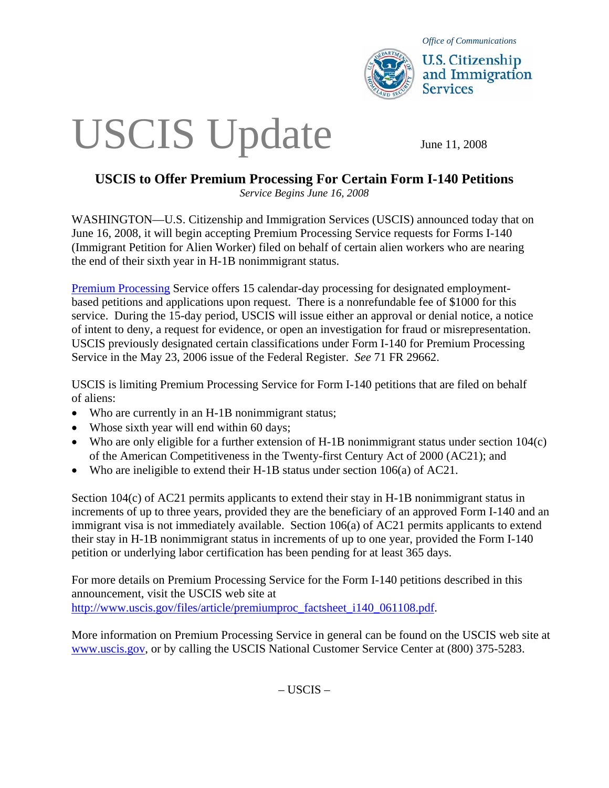

*Office of Communications* 

**U.S. Citizenship** and Immigration **Services** 

## USCIS Update June 11, 2008

## **USCIS to Offer Premium Processing For Certain Form I-140 Petitions**

*Service Begins June 16, 2008* 

WASHINGTON—U.S. Citizenship and Immigration Services (USCIS) announced today that on June 16, 2008, it will begin accepting Premium Processing Service requests for Forms I-140 (Immigrant Petition for Alien Worker) filed on behalf of certain alien workers who are nearing the end of their sixth year in H-1B nonimmigrant status.

[Premium Processing](http://www.uscis.gov/portal/site/uscis/menuitem.5af9bb95919f35e66f614176543f6d1a/?vgnextoid=ebaf0c594dafd010VgnVCM1000000ecd190aRCRD&vgnextchannel=54519c7755cb9010VgnVCM10000045f3d6a1RCRD) Service offers 15 calendar-day processing for designated employmentbased petitions and applications upon request. There is a nonrefundable fee of \$1000 for this service. During the 15-day period, USCIS will issue either an approval or denial notice, a notice of intent to deny, a request for evidence, or open an investigation for fraud or misrepresentation. USCIS previously designated certain classifications under Form I-140 for Premium Processing Service in the May 23, 2006 issue of the Federal Register. *See* 71 FR 29662.

USCIS is limiting Premium Processing Service for Form I-140 petitions that are filed on behalf of aliens:

- Who are currently in an H-1B nonimmigrant status;
- Whose sixth year will end within 60 days;
- Who are only eligible for a further extension of H-1B nonimmigrant status under section 104(c) of the American Competitiveness in the Twenty-first Century Act of 2000 (AC21); and
- Who are ineligible to extend their H-1B status under section 106(a) of AC21.

Section 104(c) of AC21 permits applicants to extend their stay in H-1B nonimmigrant status in increments of up to three years, provided they are the beneficiary of an approved Form I-140 and an immigrant visa is not immediately available. Section 106(a) of AC21 permits applicants to extend their stay in H-1B nonimmigrant status in increments of up to one year, provided the Form I-140 petition or underlying labor certification has been pending for at least 365 days.

For more details on Premium Processing Service for the Form I-140 petitions described in this announcement, visit the USCIS web site at [http://www.uscis.gov/files/article/premiumproc\\_factsheet\\_i140\\_061108.pdf.](http://www.uscis.gov/files/article/premiumproc_factsheet_i140_061108.pdf)

More information on Premium Processing Service in general can be found on the USCIS web site at [www.uscis.gov,](http://www.uscis.gov/) or by calling the USCIS National Customer Service Center at (800) 375-5283.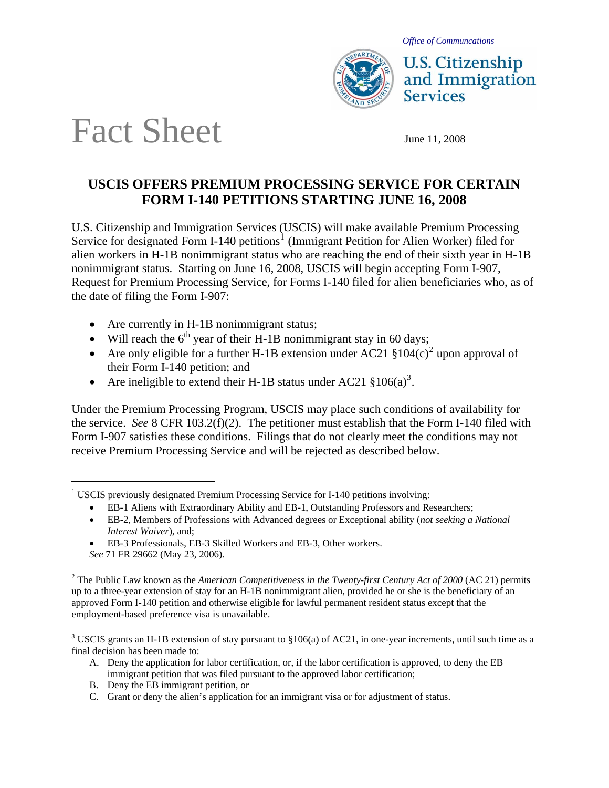*Office of Communcations* 



**U.S. Citizenship** and Immigration **Services** 

## Fact Sheet June 11, 2008

## **USCIS OFFERS PREMIUM PROCESSING SERVICE FOR CERTAIN FORM I-140 PETITIONS STARTING JUNE 16, 2008**

U.S. Citizenship and Immigration Services (USCIS) will make available Premium Processing Service for designated Form I-[1](#page-1-0)40 petitions<sup>1</sup> (Immigrant Petition for Alien Worker) filed for alien workers in H-1B nonimmigrant status who are reaching the end of their sixth year in H-1B nonimmigrant status. Starting on June 16, 2008, USCIS will begin accepting Form I-907, Request for Premium Processing Service, for Forms I-140 filed for alien beneficiaries who, as of the date of filing the Form I-907:

- Are currently in H-1B nonimmigrant status;
- Will reach the  $6<sup>th</sup>$  year of their H-1B nonimmigrant stay in 60 days;
- Are only eligible for a further H-1B extension under AC[2](#page-1-1)1  $$104(c)^2$  upon approval of their Form I-140 petition; and
- Are ineligible to extend their H-1B status under AC21  $$106(a)^3$  $$106(a)^3$ .

Under the Premium Processing Program, USCIS may place such conditions of availability for the service. *See* 8 CFR 103.2(f)(2). The petitioner must establish that the Form I-140 filed with Form I-907 satisfies these conditions. Filings that do not clearly meet the conditions may not receive Premium Processing Service and will be rejected as described below.

l

<span id="page-1-2"></span><sup>3</sup> USCIS grants an H-1B extension of stay pursuant to  $$106(a)$  of AC21, in one-year increments, until such time as a final decision has been made to:

- A. Deny the application for labor certification, or, if the labor certification is approved, to deny the EB immigrant petition that was filed pursuant to the approved labor certification;
- B. Deny the EB immigrant petition, or
- C. Grant or deny the alien's application for an immigrant visa or for adjustment of status.

<span id="page-1-0"></span><sup>&</sup>lt;sup>1</sup> USCIS previously designated Premium Processing Service for I-140 petitions involving:

<sup>•</sup> EB-1 Aliens with Extraordinary Ability and EB-1, Outstanding Professors and Researchers;

<sup>•</sup> EB-2, Members of Professions with Advanced degrees or Exceptional ability (*not seeking a National Interest Waiver*), and;

<sup>•</sup> EB-3 Professionals, EB-3 Skilled Workers and EB-3, Other workers.

*See* 71 FR 29662 (May 23, 2006).

<span id="page-1-1"></span><sup>&</sup>lt;sup>2</sup> The Public Law known as the *American Competitiveness in the Twenty-first Century Act of 2000* (AC 21) permits up to a three-year extension of stay for an H-1B nonimmigrant alien, provided he or she is the beneficiary of an approved Form I-140 petition and otherwise eligible for lawful permanent resident status except that the employment-based preference visa is unavailable.